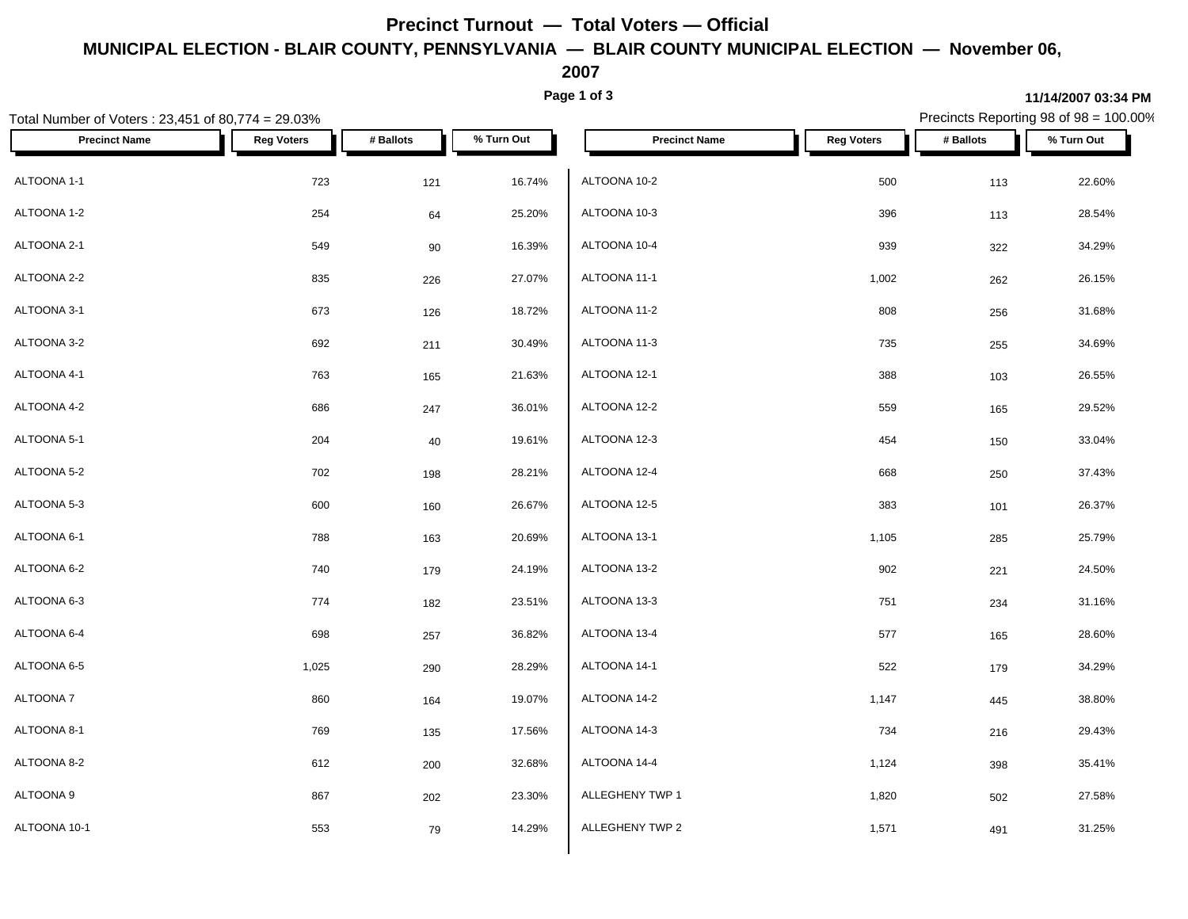## **Precinct Turnout — Total Voters — Official MUNICIPAL ELECTION - BLAIR COUNTY, PENNSYLVANIA — BLAIR COUNTY MUNICIPAL ELECTION — November 06,**

**2007**

**Page 1 of 3**

#### Total Number of Voters : 23,451 of 80,774 = 29.03% Precincts Reporting 98 of 98 = 100.00% **Precinct Name Reg Voters # Ballots % Turn Out Precinct Name Reg Voters # Ballots % Turn Out** ALTOONA 1-1 723 121 16.74% ALTOONA 1-2  $254$   $25.20\%$   $ALTOONA$  10-3 ALTOONA 2-1 549 90 16.39% ALTOONA 2-2 835 226 27.07% ALTOONA 3-1 673 126 18.72% ALTOONA 3-2 692 211 30.49% ALTOONA 4-1 763 165 21.63%  $\,$ ALTOONA 4-2  $\,$  686  $\,$  247  $\,$  36.01%  $\,$  ALTOONA 12-2  $\,$ ALTOONA 5-1 204 40 19.61% ALTOONA 5-2 702 198 28.21% ALTOONA 5-3 600 160 26.67% ALTOONA 6-1 788 163 20.69% ALTOONA 6-2 740 179 24.19% ALTOONA 6-3 774 182 23.51% ALTOONA 6-4 698 257 36.82% ALTOONA 6-5 1,025 290 28.29% ALTOONA 7 860 164 19.07% ALTOONA 8-1 769 135 17.56% ALTOONA 8-2 612 200 32.68% ALTOONA 9 867 202 23.30% | ALLEGHENY TWP 1 1,820 27.58% ALTOONA 10-1 553 14.29% ALLEGHENY TWP 2 1,571 491 31.25% ALTOONA 10-2 500 113 22.60% ALTOONA 10-3 396 113 28.54% ALTOONA 10-4 939 322 34.29% ALTOONA 11-1 1,002 262 26.15% ALTOONA 11-2 808 256 31.68% ALTOONA 11-3 735 255 34.69% ALTOONA 12-1 388 103 26.55% ALTOONA 12-2 559 165 29.52% ALTOONA 12-3 454 150 33.04% ALTOONA 12-4 668 250 37.43% ALTOONA 12-5 383 101 26.37% ALTOONA 13-1 1,105 285 25.79% ALTOONA 13-2 902 221 24.50% ALTOONA 13-3 751 234 31.16%  $\rm ALTOON$ A 13-4  $\rm 577$   $\rm 165$  28.60% ALTOONA 14-1 522 179 34.29% ALTOONA 14-2 1,147 445 38.80% ALTOONA 14-3 734 216 29.43% ALTOONA 14-4 1,124 398 35.41%

#### **11/14/2007 03:34 PM**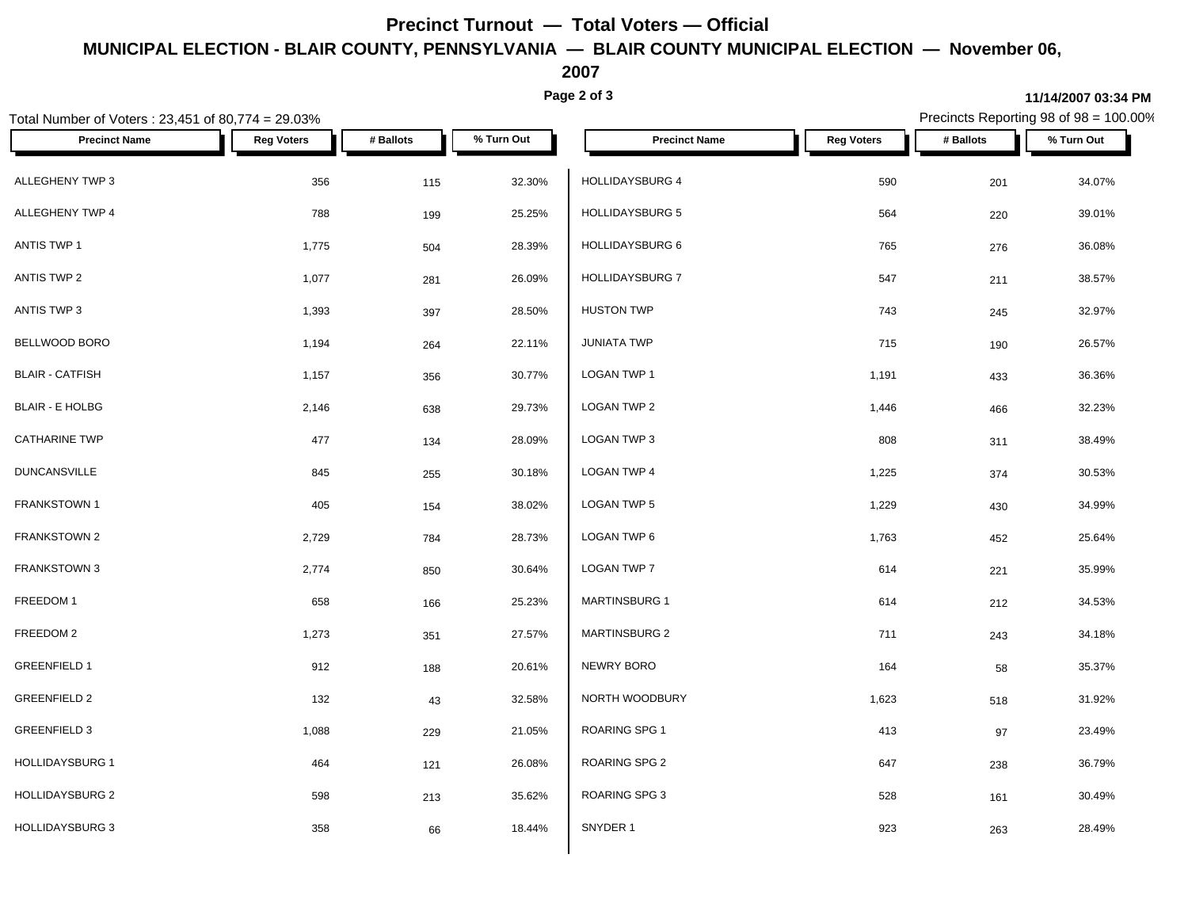## **Precinct Turnout — Total Voters — Official MUNICIPAL ELECTION - BLAIR COUNTY, PENNSYLVANIA — BLAIR COUNTY MUNICIPAL ELECTION — November 06,**

**2007**

**Page 2 of 3**

### Total Number of Voters : 23,451 of 80,774 = 29.03% Precincts Reporting 98 of 98 = 100.00% **Precinct Name Reg Voters # Ballots % Turn Out Precinct Name Reg Voters # Ballots % Turn Out** ALLEGHENY TWP 3 356 115 32.30% HOLLIDAYSBURG 4 590 34.07% ALLEGHENY TWP 4 788 199 25.25% | HOLLIDAYSBURG 5 564 220 39.01% ANTIS TWP 1 1,775 504 28.39% HOLLIDAYSBURG 6 36.08% ANTIS TWP 2 1,077 281 26.09% ANTIS TWP 3 1,393 397 28.50% BELLWOOD BORO 1,194 264 22.11% BLAIR - CATFISH 1,157 356 30.77% BLAIR - E HOLBG 2,146 638 29.73% CATHARINE TWP 477 134 28.09% LOGAN TWP 3 DUNCANSVILLE 845 255 30.18% FRANKSTOWN 1 405 154 38.02% FRANKSTOWN 2 2,729 784 28.73% FRANKSTOWN 3 2,774 850 30.64% LOGAN TWP 7  $\textsf{FREEDOM 1}\quad \textcolor{red}{\bullet} \quad \textcolor{red}{\bullet} \quad \textcolor{red}{\bullet} \quad \textcolor{red}{\bullet} \quad \textcolor{red}{\bullet} \quad \textcolor{red}{\bullet} \quad \textcolor{red}{\bullet} \quad \textcolor{red}{\bullet} \quad \textcolor{red}{\bullet} \quad \textcolor{red}{\bullet} \quad \textcolor{red}{\bullet} \quad \textcolor{red}{\bullet} \quad \textcolor{red}{\bullet} \quad \textcolor{red}{\bullet} \quad \textcolor{red}{\bullet} \quad \textcolor{red}{\bullet} \quad \textcolor{red}{\bullet} \quad \textcolor{red}{\bullet} \quad \textcolor{red}{\bullet} \$ FREEDOM 2 1,273 351 27.57% MARTINSBURG 2 GREENFIELD 1 912 188 20.61% NEWRY BORO GREENFIELD 2 132 43 32.58% <mark> NORTH WOODBURY 1,623 518</mark> 31.92% GREENFIELD 3 1,088 229 21.05% ROARING SPG 1 HOLLIDAYSBURG 1 **464**  $121$  26.08% ROARING SPG 2 HOLLIDAYSBURG 2 **598** 213 35.62% ROARING SPG 3  $HOLLIDAYSBURG 3$   $858$   $66$   $18.44\%$   $SNYDER 1$  $HOLLIDAYSBURG$  7  $547$   $211$   $38.57\%$ HUSTON TWP **743** 245 32.97%  $JUNIATA$  TWP  $T15$   $T190$   $T26.57\%$  $\textsf{LOGAN}$  TWP 1 1,191  $\textsf{1,191}$  1,191  $\textsf{433}$  36.36% LOGAN TWP 2 1,446 466 32.23%  $\textsf{\small LOGAN\,TWP\,3}\qquad \qquad 38.49\%$  $\textsf{LOGAN}$  TWP 4  $\textsf{1,225}$   $\textsf{374}$   $\textsf{30.53\%}$  $\,$  LOGAN TWP 5  $\,$  1,229  $\,$   $\,$  430  $\,$  34.99%  $\,$  LOGAN TWP 6  $\,$  1,763  $\,$  452  $\,$  25.64%  $\,$ LOGAN TWP 7 614 221 35.99% MARTINSBURG 1 614 212 34.53% MARTINSBURG 2 711 243 34.18% NEWRY BORO 164 58 35.37% ROARING SPG 1 23.49% ROARING SPG 2 647  $647$  238 36.79% ROARING SPG 3  $528$   $161$   $30.49\%$ SNYDER 1 923 263 28.49%

#### **11/14/2007 03:34 PM**